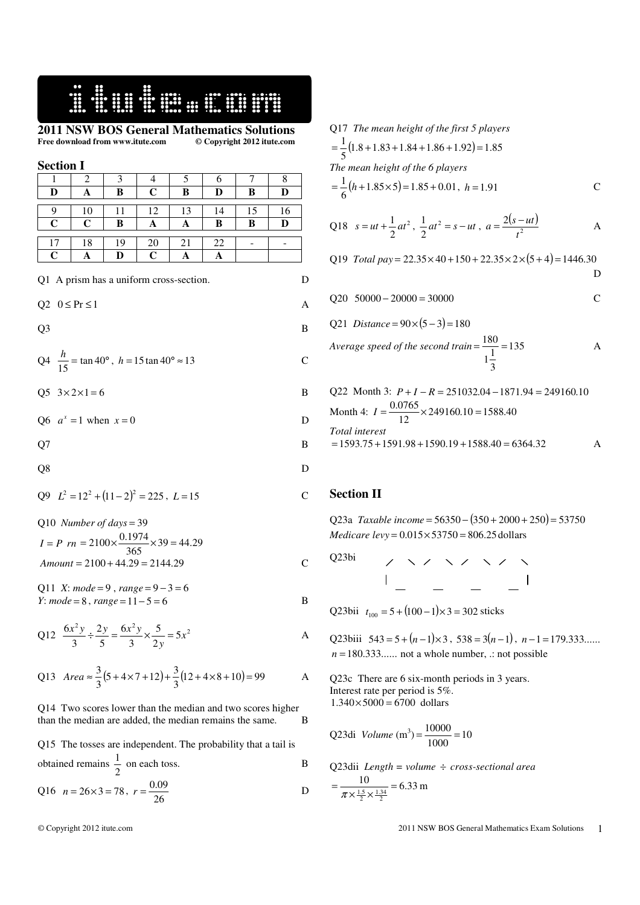# 16 September 1984

**2011 NSW BOS General Mathematics Solutions**  Free download from www.itute.com

**Section I**   $1 \mid 2 \mid 3 \mid 4 \mid 5 \mid 6 \mid 7 \mid 8$ **D A B C B D B D**  9 | 10 | 11 | 12 | 13 | 14 | 15 | 16 **C C B A A B B D**   $17 \mid 18 \mid 19 \mid 20 \mid 21 \mid 22 \mid - \mid -$ **C A D C A A**  Q1 A prism has a uniform cross-section. D  $Q2 \quad 0 \leq Pr \leq 1$  A  $Q3$  B  $Q4 \frac{n}{15} = \tan 40^{\circ}$  $\frac{h}{\sqrt{6}}$  = tan 40°, *h* = 15 tan 40° ≈ 13 C  $Q5 \ \ 3 \times 2 \times 1 = 6$  B

Q6  $a^x = 1$  when  $x = 0$  D

 $Q7$  B

$$
Q8 \hspace{2.5cm} D
$$

$$
Q9 \quad L^2 = 12^2 + (11 - 2)^2 = 225, \ L = 15
$$

Q10 Number of days = 39  
\n
$$
I = P \cdot rn = 2100 \times \frac{0.1974}{365} \times 39 = 44.29
$$
\nAmount = 2100 + 44.29 = 2144.29  
\nC

Q11 *X*: *mode* = 9 , *range* = 9 − 3 = 6 *Y*:  $\textit{mode} = 8$ ,  $\textit{range} = 11 - 5 = 6$  B

Q12 
$$
\frac{6x^2y}{3} \div \frac{2y}{5} = \frac{6x^2y}{3} \times \frac{5}{2y} = 5x^2
$$
 A

Q13 Area 
$$
\approx \frac{3}{3}(5+4\times7+12)+\frac{3}{3}(12+4\times8+10)=99
$$
 A

#### Q14 Two scores lower than the median and two scores higher than the median are added, the median remains the same. B

Q15 The tosses are independent. The probability that a tail is obtained remains 
$$
\frac{1}{2}
$$
 on each toss.

Q16 
$$
n = 26 \times 3 = 78
$$
,  $r = \frac{0.09}{26}$  D

## Q17 *The mean height of the first 5 players*

$$
=\frac{1}{5}(1.8+1.83+1.84+1.86+1.92)=1.85
$$
  
The mean height of the 6 players  

$$
=\frac{1}{6}(h+1.85\times5)=1.85+0.01, h=1.91
$$
 C

Q18 
$$
s = ut + \frac{1}{2}at^2
$$
,  $\frac{1}{2}at^2 = s - ut$ ,  $a = \frac{2(s - ut)}{t^2}$  A

Q19 Total pay = 
$$
22.35 \times 40 + 150 + 22.35 \times 2 \times (5 + 4) = 1446.30
$$
  
D

$$
Q20 \quad 50000 - 20000 = 30000
$$
 C

Q21 *Distance* =  $90 \times (5-3) = 180$ 

Average speed of the second train = 
$$
\frac{180}{1\frac{1}{3}}
$$
 = 135 A

Q22 Month 3: 
$$
P + I - R = 251032.04 - 1871.94 = 249160.10
$$
  
Month 4:  $I = \frac{0.0765}{12} \times 249160.10 = 1588.40$   
Total interest  
= 1593.75 + 1591.98 + 1590.19 + 1588.40 = 6364.32 A

### **Section II**

Q23a *Taxable income* = 56350 − (350 + 2000 + 250) = 53750 *Medicare levy* =  $0.015 \times 53750 = 806.25$  dollars

Q23bi

Q23bii  $t_{100} = 5 + (100 - 1) \times 3 = 302$  sticks

Q23biii  $543 = 5 + (n-1) \times 3$ ,  $538 = 3(n-1)$ ,  $n-1 = 179.333...$  $n = 180.333...$  not a whole number,  $\therefore$  not possible

Q23c There are 6 six-month periods in 3 years. Interest rate per period is 5%.  $1.340 \times 5000 = 6700$  dollars

Q23di *Volume* (m<sup>3</sup>) = 
$$
\frac{10000}{1000}
$$
 = 10

Q23dii *Length = volume* ÷ *cross-sectional area*  $\frac{10}{15-134}$  = 6.33  $=\frac{10}{\pi \times \frac{1.5}{2} \times \frac{1.34}{2}}$  = 6.33 m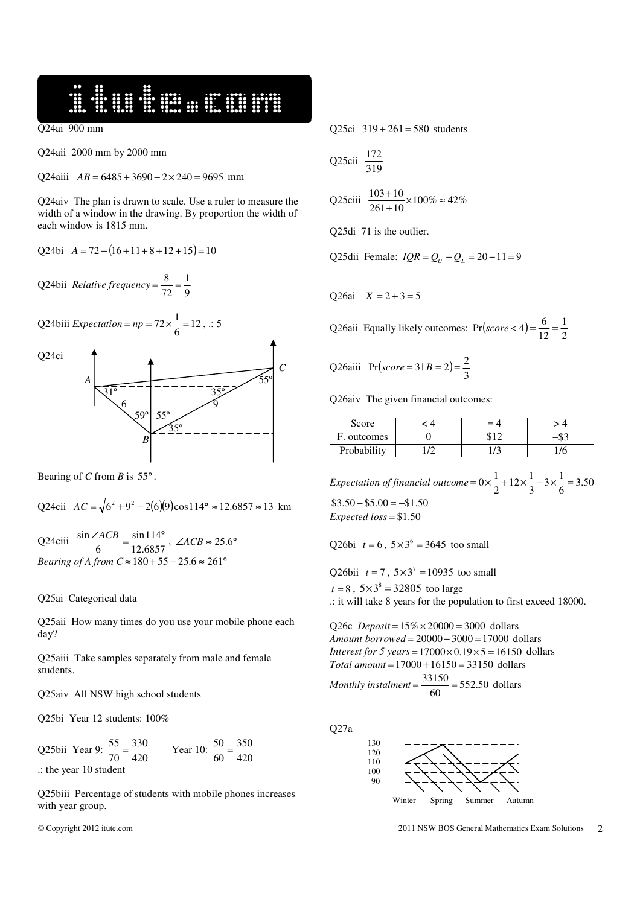16 September 1984

Q24ai 900 mm

Q24aii 2000 mm by 2000 mm

Q24aiii  $AB = 6485 + 3690 - 2 \times 240 = 9695$  mm

Q24aiv The plan is drawn to scale. Use a ruler to measure the width of a window in the drawing. By proportion the width of each window is 1815 mm.

 $Q24bi \quad A = 72 - (16 + 11 + 8 + 12 + 15) = 10$ 

Q24bii *Relative frequency* =  $\frac{6}{72}$  =  $\frac{1}{9}$ 1 72  $=\frac{8}{11}$ 

Q24biii *Expectation* =  $np = 72 \times \frac{1}{6} = 12$  $= np = 72 \times \frac{1}{6} = 12$ , .: 5

Q24ci



Bearing of *C* from *B* is  $55^\circ$ .

Q24cii 
$$
AC = \sqrt{6^2 + 9^2 - 2(6)(9)\cos 114^\circ} \approx 12.6857 \approx 13
$$
 km

Q24ciii  $\frac{\sin 2\pi c}{6} = \frac{\sin 111}{12.6857}$ sin114 6  $\frac{\sin \angle ACB}{\cos \angle ACB} = \frac{\sin 114^{\circ}}{\cos 12 \cos 12^{\circ}}$ ,  $\angle ACB \approx 25.6^{\circ}$ *Bearing of A from C*  $\approx$  180 + 55 + 25.6  $\approx$  261<sup>°</sup>

### Q25ai Categorical data

Q25aii How many times do you use your mobile phone each day?

Q25aiii Take samples separately from male and female students.

Q25aiv All NSW high school students

Q25bi Year 12 students: 100%

Q25bii Year 9:  $\frac{33}{70} = \frac{330}{420}$ 330 70  $\frac{55}{70} = \frac{330}{420}$  Year 10:  $\frac{50}{60} = \frac{350}{420}$ 350 60  $\frac{50}{10}$  = .: the year 10 student

Q25biii Percentage of students with mobile phones increases with year group.

Q25ci  $319 + 261 = 580$  students

Q25cii 
$$
\frac{172}{319}
$$

Q25ciii  $\frac{100+10}{261+10} \times 100\% \approx 42\%$  $\frac{103+10}{261+10}$  × 100%  $\approx$ +

Q25di 71 is the outlier.

Q25dii Female:  $IQR = Q_U - Q_L = 20 - 11 = 9$ 

Q26ai  $X = 2 + 3 = 5$ 

Q26aii Equally likely outcomes:  $Pr(score < 4) = \frac{6}{12} = \frac{1}{2}$ 1 12  $Pr(score < 4) = \frac{6}{12} =$ 

Q26aiii 
$$
Pr(score = 3 | B = 2) = \frac{2}{3}
$$

Q26aiv The given financial outcomes:

| Score       | $= 4$ |  |
|-------------|-------|--|
| F. outcomes |       |  |
| Probability |       |  |

*Expectation of financial outcome* =  $0 \times \frac{1}{2} + 12 \times \frac{1}{3} - 3 \times \frac{1}{6} = 3.50$  $\frac{1}{3} - 3 \times \frac{1}{6}$  $\frac{1}{2} + 12 \times \frac{1}{3}$  $= 0 \times \frac{1}{2} + 12 \times \frac{1}{2} - 3 \times \frac{1}{2} =$  $$3.50 - $5.00 = -\$1.50$  $Expected loss = $1.50$ 

Q26bi  $t = 6$ ,  $5 \times 3^6 = 3645$  too small

Q26bii  $t = 7$ ,  $5 \times 3^7 = 10935$  too small  $t = 8$ ,  $5 \times 3^8 = 32805$  too large .: it will take 8 years for the population to first exceed 18000.

Q26c  $Deposit = 15\% \times 20000 = 3000$  dollars *Amount borrowed* = 20000 − 3000 = 17000 dollars *Interest for 5 years* =  $17000 \times 0.19 \times 5 = 16150$  dollars *Total amount* = 17000 +16150 = 33150 dollars

*Monthly instalment* =  $\frac{33150}{60}$  = 552.50  $=\frac{33150}{60}$  = 552.50 dollars

Q27a